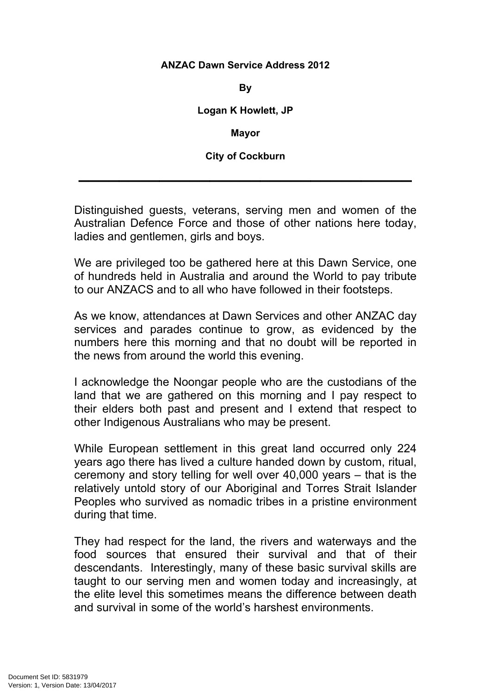## **ANZAC Dawn Service Address 2012**

**By**

**Logan K Howlett, JP**

**Mayor**

**City of Cockburn**

 $\mathcal{L}=\mathcal{L}^{\mathcal{L}}$  , where  $\mathcal{L}^{\mathcal{L}}$  ,  $\mathcal{L}^{\mathcal{L}}$  ,  $\mathcal{L}^{\mathcal{L}}$  ,  $\mathcal{L}^{\mathcal{L}}$  ,  $\mathcal{L}^{\mathcal{L}}$  ,  $\mathcal{L}^{\mathcal{L}}$  ,  $\mathcal{L}^{\mathcal{L}}$  ,  $\mathcal{L}^{\mathcal{L}}$  ,  $\mathcal{L}^{\mathcal{L}}$  ,  $\mathcal{L}^{\mathcal{L}}$  ,  $\mathcal{L}^{\mathcal$ 

Distinguished guests, veterans, serving men and women of the Australian Defence Force and those of other nations here today, ladies and gentlemen, girls and boys.

We are privileged too be gathered here at this Dawn Service, one of hundreds held in Australia and around the World to pay tribute to our ANZACS and to all who have followed in their footsteps.

As we know, attendances at Dawn Services and other ANZAC day services and parades continue to grow, as evidenced by the numbers here this morning and that no doubt will be reported in the news from around the world this evening.

I acknowledge the Noongar people who are the custodians of the land that we are gathered on this morning and I pay respect to their elders both past and present and I extend that respect to other Indigenous Australians who may be present.

While European settlement in this great land occurred only 224 years ago there has lived a culture handed down by custom, ritual, ceremony and story telling for well over 40,000 years – that is the relatively untold story of our Aboriginal and Torres Strait Islander Peoples who survived as nomadic tribes in a pristine environment during that time.

They had respect for the land, the rivers and waterways and the food sources that ensured their survival and that of their descendants. Interestingly, many of these basic survival skills are taught to our serving men and women today and increasingly, at the elite level this sometimes means the difference between death and survival in some of the world's harshest environments.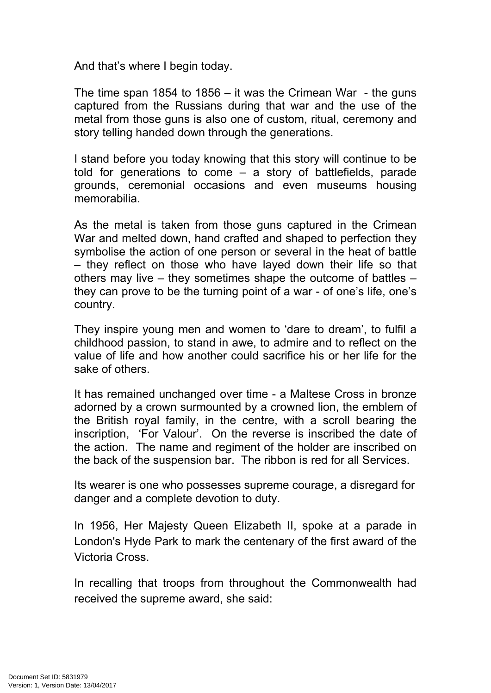And that's where I begin today.

The time span 1854 to 1856 – it was the Crimean War - the guns captured from the Russians during that war and the use of the metal from those guns is also one of custom, ritual, ceremony and story telling handed down through the generations.

I stand before you today knowing that this story will continue to be told for generations to come – a story of battlefields, parade grounds, ceremonial occasions and even museums housing memorabilia.

As the metal is taken from those guns captured in the Crimean War and melted down, hand crafted and shaped to perfection they symbolise the action of one person or several in the heat of battle – they reflect on those who have layed down their life so that others may live – they sometimes shape the outcome of battles – they can prove to be the turning point of a war - of one's life, one's country.

They inspire young men and women to 'dare to dream', to fulfil a childhood passion, to stand in awe, to admire and to reflect on the value of life and how another could sacrifice his or her life for the sake of others.

It has remained unchanged over time - a Maltese Cross in bronze adorned by a crown surmounted by a crowned lion, the emblem of the British royal family, in the centre, with a scroll bearing the inscription, 'For Valour'. On the reverse is inscribed the date of the action. The name and regiment of the holder are inscribed on the back of the suspension bar. The ribbon is red for all Services.

Its wearer is one who possesses supreme courage, a disregard for danger and a complete devotion to duty.

In 1956, Her Majesty Queen Elizabeth II, spoke at a parade in London's Hyde Park to mark the centenary of the first award of the Victoria Cross.

In recalling that troops from throughout the Commonwealth had received the supreme award, she said: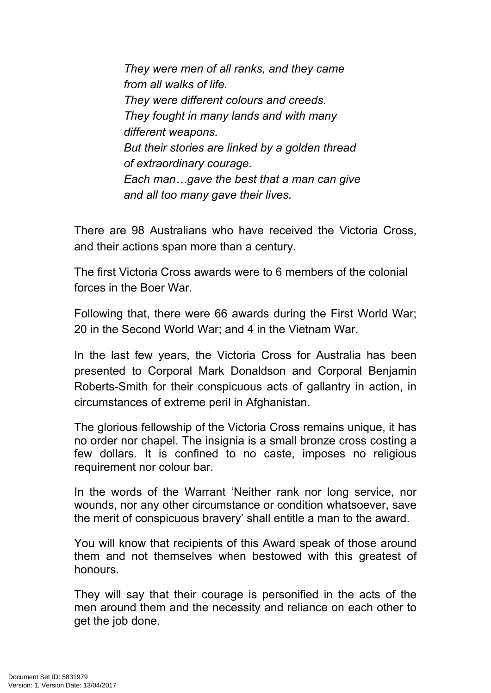*They were men of all ranks, and they came from all walks of life. They were different colours and creeds. They fought in many lands and with many different weapons. But their stories are linked by a golden thread of extraordinary courage. Each man…gave the best that a man can give and all too many gave their lives.*

There are 98 Australians who have received the Victoria Cross, and their actions span more than a century.

The first Victoria Cross awards were to 6 members of the colonial forces in the Boer War.

Following that, there were 66 awards during the First World War; 20 in the Second World War; and 4 in the Vietnam War.

In the last few years, the Victoria Cross for Australia has been presented to Corporal Mark Donaldson and Corporal Benjamin Roberts-Smith for their conspicuous acts of gallantry in action, in circumstances of extreme peril in Afghanistan.

The glorious fellowship of the Victoria Cross remains unique, it has no order nor chapel. The insignia is a small bronze cross costing a few dollars. It is confined to no caste, imposes no religious requirement nor colour bar.

In the words of the Warrant 'Neither rank nor long service, nor wounds, nor any other circumstance or condition whatsoever, save the merit of conspicuous bravery' shall entitle a man to the award.

You will know that recipients of this Award speak of those around them and not themselves when bestowed with this greatest of honours.

They will say that their courage is personified in the acts of the men around them and the necessity and reliance on each other to get the job done.